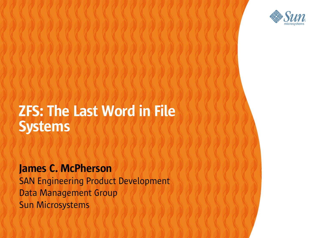

#### ZFS: The Last Word in File Systems

,,,,,,,,,,,,,,,,,,,,,,

000000000000000000000

1 0 0 0 0 0 0 0 0 0 0 0 0 0 0 0 0 0 0

10000000000000000000000

James C. McPherson 7000000 SAN Engineering Product Development Data Management Group / / / / / / / / / / / / / / Sun Microsystems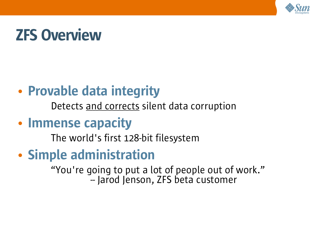

# ZFS Overview

#### • Provable data integrity

Detects and corrects silent data corruption

#### • Immense capacity

The world's first 128-bit filesystem

#### • Simple administration

"You're going to put a lot of people out of work." -- Jarod Jenson, ZFS beta customer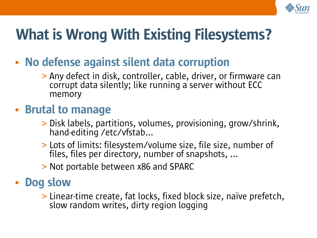

# What is Wrong With Existing Filesystems?

- No defense against silent data corruption
	- > Any defect in disk, controller, cable, driver, or firmware can corrupt data silently; like running a server without ECC memory

#### • Brutal to manage

- > Disk labels, partitions, volumes, provisioning, grow/shrink, hand-editing /etc/vfstab...
- > Lots of limits: filesystem/volume size, file size, number of files, files per directory, number of snapshots, ...
- > Not portable between x86 and SPARC

#### • Dog slow

> Linear-time create, fat locks, fixed block size, naïve prefetch, slow random writes, dirty region logging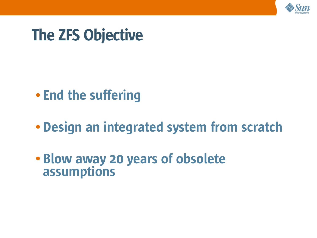

# The ZFS Objective

- End the suffering
- Design an integrated system from scratch
- Blow away 20 years of obsolete assumptions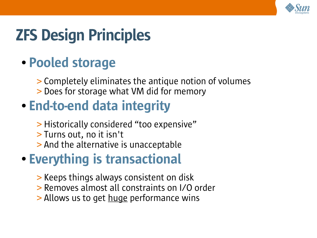

# ZFS Design Principles

#### • Pooled storage

> Completely eliminates the antique notion of volumes > Does for storage what VM did for memory

## • End-to-end data integrity

- > Historically considered "too expensive"
- > Turns out, no it isn't
- > And the alternative is unacceptable

## • Everything is transactional

- > Keeps things always consistent on disk
- > Removes almost all constraints on I/O order
- > Allows us to get huge performance wins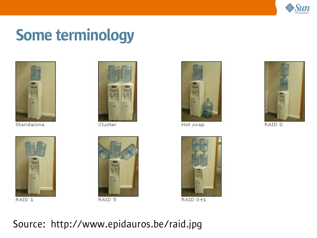

# Some terminology



Standalone



Cluster



RAID 1



RAID 5



Hot swap



RAID 0+1

#### Source: http://www.epidauros.be/raid.jpg



RAID 0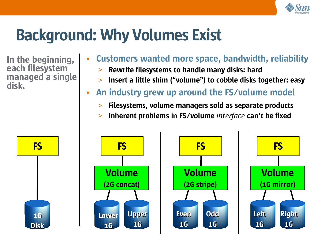

# Background: Why Volumes Exist

In the beginning, each filesystem managed a single disk.

#### • Customers wanted more space, bandwidth, reliability

- Rewrite filesystems to handle many disks: hard
- > Insert a little shim ("volume") to cobble disks together: easy
- An industry grew up around the FS/volume model
	- **20%** > Filesystems, volume managers sold as separate products
	- > Inherent problems in FS/volume *interface* can't be fixed

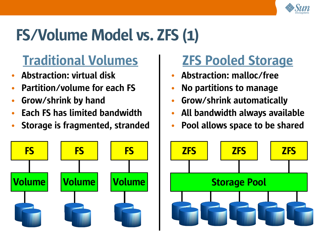

# FS/Volume Model vs. ZFS (1)

## Traditional Volumes

- Abstraction: virtual disk
- Partition/volume for each FS
- Grow/shrink by hand
- Each FS has limited bandwidth
- Storage is fragmented, stranded



## ZFS Pooled Storage

- Abstraction: malloc/free
- No partitions to manage
- Grow/shrink automatically
- All bandwidth always available
- Pool allows space to be shared

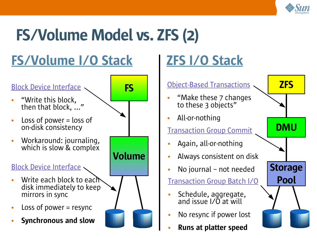

# FS/Volume Model vs. ZFS (2)

# FS/Volume I/O Stack

#### Block Device Interface

- "Write this block, then that block, ..."
- Loss of power  $=$  loss of on-disk consistency
- Workaround: journaling, which is slow & complex

#### Block Device Interface

- Write each block to each disk immediately to keep mirrors in sync
- Loss of power  $=$  resync
- Synchronous and slow



# ZFS I/O Stack

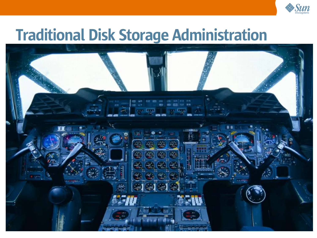

# Traditional Disk Storage Administration

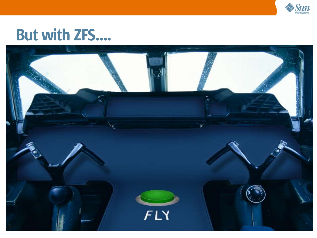

# But with ZFS....

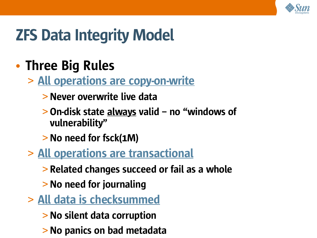

# ZFS Data Integrity Model

#### • Three Big Rules

- > All operations are copy-on-write
	- > Never overwrite live data
	- > On-disk state always valid no "windows of vulnerability"
	- > No need for fsck(1M)
- > All operations are transactional
	- > Related changes succeed or fail as a whole
	- > No need for journaling
- > All data is checksummed
	- > No silent data corruption
	- > No panics on bad metadata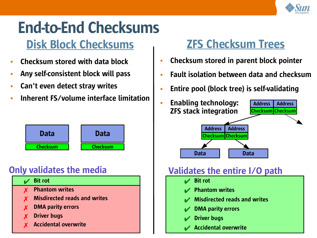

# End-to-End Checksums

## Disk Block Checksums

- Checksum stored with data block
- Any self-consistent block will pass
- Can't even detect stray writes
- Inherent FS/volume interface limitation



#### Only validates the media



#### ZFS Checksum Trees

- Checksum stored in parent block pointer
- Fault isolation between data and checksum
- Entire pool (block tree) is self-validating



#### Validates the entire I/O path

- $\overline{\mathcal{A}}$  Bit rot
- **Phantom writes**
- **Misdirected reads and writes**
- **DMA parity errors**
- **Driver bugs**
- **Accidental overwrite**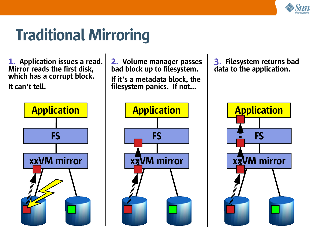

# Traditional Mirroring

**1.** Application issues a read. Mirror reads the first disk, which has a corrupt block. It can't tell.



2. Volume manager passes bad block up to filesystem. If it's a metadata block, the filesystem panics. If not...

**Application** 

xxVM mirror

**Municipality** 

FS

3. Filesystem returns bad data to the application.

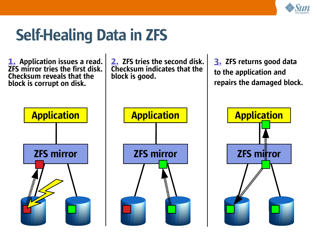

# Self-Healing Data in ZFS

**1.** Application issues a read. ZFS mirror tries the first disk. Checksum reveals that the block is corrupt on disk.

2. ZFS tries the second disk. Checksum indicates that the block is good.

3. ZFS returns good data to the application and repairs the damaged block.





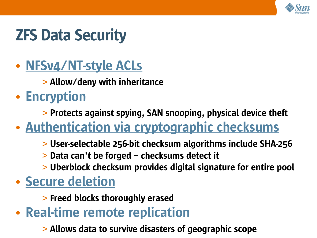

# ZFS Data Security

- NFSv4/NT-style ACLs
	- > Allow/deny with inheritance
- Encryption
	- > Protects against spying, SAN snooping, physical device theft
- Authentication via cryptographic checksums
	- > User-selectable 256-bit checksum algorithms include SHA-256
	- > Data can't be forged checksums detect it
	- > Uberblock checksum provides digital signature for entire pool
- Secure deletion
	- > Freed blocks thoroughly erased
- Real-time remote replication
	- > Allows data to survive disasters of geographic scope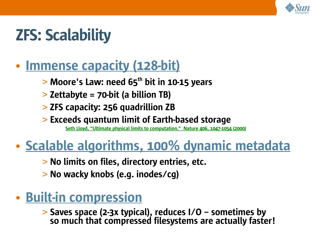

# ZFS: Scalability

#### • Immense capacity (128-bit)

- $>$  Moore's Law: need 65<sup>th</sup> bit in 10-15 years
- > Zettabyte = 70-bit (a billion TB)
- > ZFS capacity: 256 quadrillion ZB
- > Exceeds quantum limit of Earth-based storage

Seth Lloyd, "Ultimate physical limits to computation." Nature 406, 1047-1054 (2000)

# • Scalable algorithms, 100% dynamic metadata

- > No limits on files, directory entries, etc.
- > No wacky knobs (e.g. inodes/cg)

#### • Built-in compression

> Saves space (2-3x typical), reduces I/O – sometimes by so much that compressed filesystems are actually faster!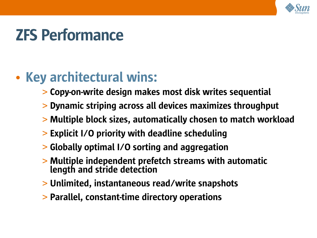

# ZFS Performance

## • Key architectural wins:

- > Copy-on-write design makes most disk writes sequential
- > Dynamic striping across all devices maximizes throughput
- > Multiple block sizes, automatically chosen to match workload
- > Explicit I/O priority with deadline scheduling
- > Globally optimal I/O sorting and aggregation
- > Multiple independent prefetch streams with automatic length and stride detection
- > Unlimited, instantaneous read/write snapshots
- > Parallel, constant-time directory operations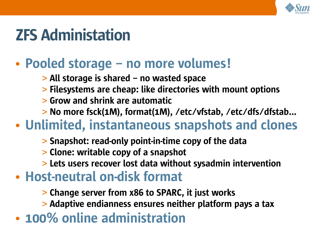

# ZFS Administation

#### • Pooled storage – no more volumes!

- > All storage is shared no wasted space
- > Filesystems are cheap: like directories with mount options
- > Grow and shrink are automatic
- > No more fsck(1M), format(1M), /etc/vfstab, /etc/dfs/dfstab...

#### • Unlimited, instantaneous snapshots and clones

- > Snapshot: read-only point-in-time copy of the data
- > Clone: writable copy of a snapshot
- > Lets users recover lost data without sysadmin intervention
- Host-neutral on-disk format
	- > Change server from x86 to SPARC, it just works
	- > Adaptive endianness ensures neither platform pays a tax
- 100% online administration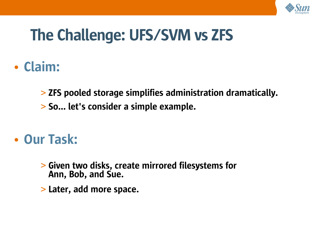

# The Challenge: UFS/SVM vs ZFS

#### • Claim:

> ZFS pooled storage simplifies administration dramatically.

> So... let's consider a simple example.

#### • Our Task:

- > Given two disks, create mirrored filesystems for Ann, Bob, and Sue.
- > Later, add more space.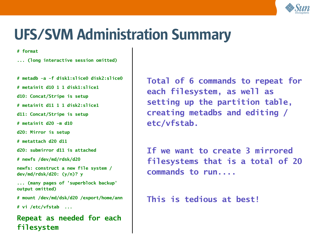

# UFS/SVM Administration Summary

**# format**

**... (long interactive session omitted)**

**# metadb -a -f disk1:slice0 disk2:slice0**

**# metainit d10 1 1 disk1:slice1**

**d10: Concat/Stripe is setup**

**# metainit d11 1 1 disk2:slice1**

**d11: Concat/Stripe is setup**

**# metainit d20 -m d10**

**d20: Mirror is setup**

**# metattach d20 d11**

**d20: submirror d11 is attached**

**# newfs /dev/md/rdsk/d20**

**newfs: construct a new file system / dev/md/rdsk/d20: (y/n)? y**

**... (many pages of 'superblock backup' output omitted)**

**# mount /dev/md/dsk/d20 /export/home/ann**

**# vi /etc/vfstab ...**

**Repeat as needed for each filesystem**

**Total of 6 commands to repeat for each filesystem, as well as setting up the partition table, creating metadbs and editing / etc/vfstab.**

**If we want to create 3 mirrored filesystems that is a total of 20 commands to run....**

**This is tedious at best!**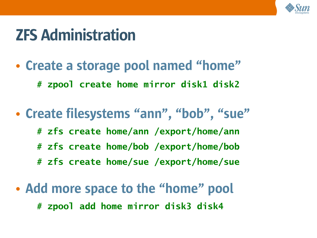

# ZFS Administration

• Create a storage pool named "home"

**# zpool create home mirror disk1 disk2**

- Create filesystems "ann", "bob", "sue" **# zfs create home/ann /export/home/ann # zfs create home/bob /export/home/bob # zfs create home/sue /export/home/sue**
- Add more space to the "home" pool **# zpool add home mirror disk3 disk4**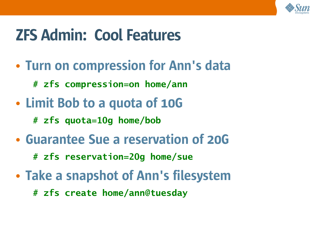

# ZFS Admin: Cool Features

- Turn on compression for Ann's data
	- **# zfs compression=on home/ann**
- Limit Bob to a quota of 10G
	- **# zfs quota=10g home/bob**
- Guarantee Sue a reservation of 20G
	- **# zfs reservation=20g home/sue**
- Take a snapshot of Ann's filesystem
	- **# zfs create home/ann@tuesday**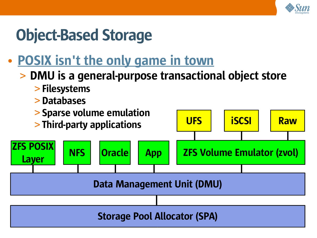

# Object-Based Storage

## • POSIX isn't the only game in town

#### > DMU is a general-purpose transactional object store

- > Filesystems
- > Databases

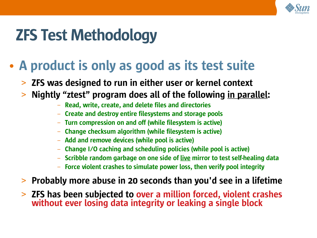

# ZFS Test Methodology

- A product is only as good as its test suite
	- > ZFS was designed to run in either user or kernel context
	- > Nightly "ztest" program does all of the following in parallel:
		- Read, write, create, and delete files and directories
		- Create and destroy entire filesystems and storage pools
		- Turn compression on and off (while filesystem is active)
		- Change checksum algorithm (while filesystem is active)
		- Add and remove devices (while pool is active)
		- Change I/O caching and scheduling policies (while pool is active)
		- Scribble random garbage on one side of live mirror to test self-healing data
		- Force violent crashes to simulate power loss, then verify pool integrity
	- > Probably more abuse in 20 seconds than you'd see in a lifetime
	- > ZFS has been subjected to over a million forced, violent crashes without ever losing data integrity or leaking a single block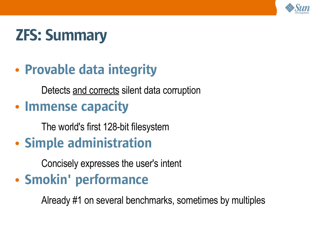

# ZFS: Summary

## • Provable data integrity

Detects and corrects silent data corruption

#### • Immense capacity

The world's first 128-bit filesystem

• Simple administration

Concisely expresses the user's intent

## • Smokin' performance

Already #1 on several benchmarks, sometimes by multiples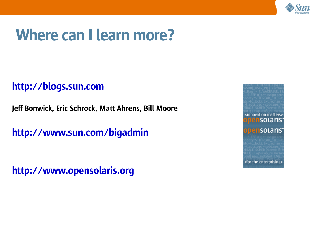

# Where can I learn more?

#### http://blogs.sun.com

Jeff Bonwick, Eric Schrock, Matt Ahrens, Bill Moore

http://www.sun.com/bigadmin

http://www.opensolaris.org

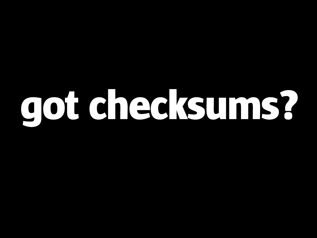# got checksums?